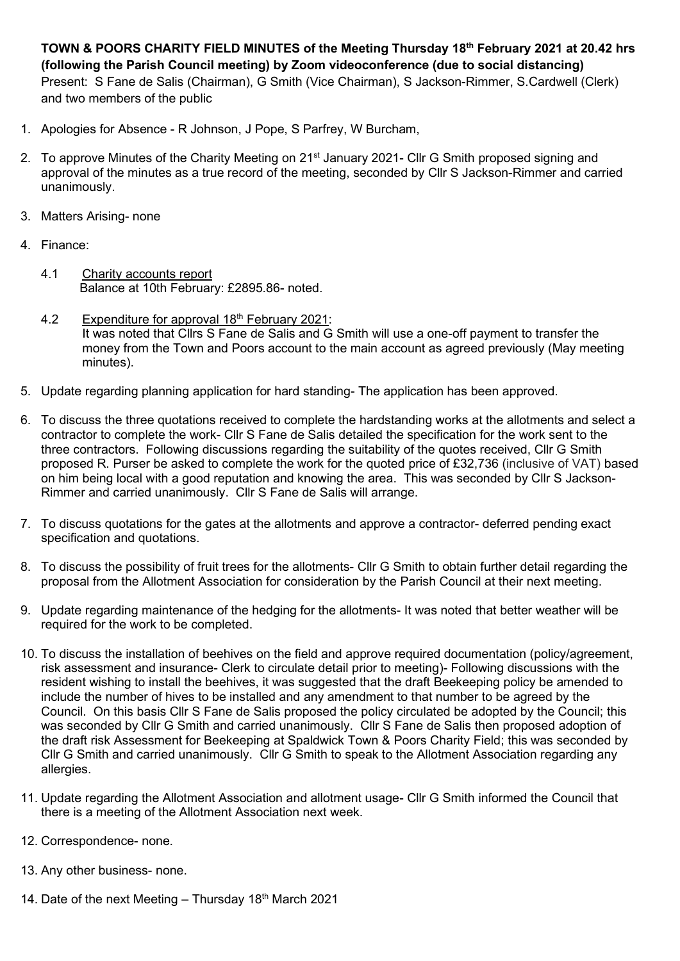**TOWN & POORS CHARITY FIELD MINUTES of the Meeting Thursday 18th February 2021 at 20.42 hrs (following the Parish Council meeting) by Zoom videoconference (due to social distancing)** Present: S Fane de Salis (Chairman), G Smith (Vice Chairman), S Jackson-Rimmer, S.Cardwell (Clerk) and two members of the public

- 1. Apologies for Absence R Johnson, J Pope, S Parfrey, W Burcham,
- 2. To approve Minutes of the Charity Meeting on 21<sup>st</sup> January 2021- Cllr G Smith proposed signing and approval of the minutes as a true record of the meeting, seconded by Cllr S Jackson-Rimmer and carried unanimously.
- 3. Matters Arising- none
- 4. Finance:
	- 4.1 Charity accounts report Balance at 10th February: £2895.86- noted.
	- 4.2 Expenditure for approval 18<sup>th</sup> February 2021: It was noted that Cllrs S Fane de Salis and G Smith will use a one-off payment to transfer the money from the Town and Poors account to the main account as agreed previously (May meeting minutes).
- 5. Update regarding planning application for hard standing- The application has been approved.
- 6. To discuss the three quotations received to complete the hardstanding works at the allotments and select a contractor to complete the work- Cllr S Fane de Salis detailed the specification for the work sent to the three contractors. Following discussions regarding the suitability of the quotes received, Cllr G Smith proposed R. Purser be asked to complete the work for the quoted price of £32,736 (inclusive of VAT) based on him being local with a good reputation and knowing the area. This was seconded by Cllr S Jackson-Rimmer and carried unanimously. Cllr S Fane de Salis will arrange.
- 7. To discuss quotations for the gates at the allotments and approve a contractor- deferred pending exact specification and quotations.
- 8. To discuss the possibility of fruit trees for the allotments- Cllr G Smith to obtain further detail regarding the proposal from the Allotment Association for consideration by the Parish Council at their next meeting.
- 9. Update regarding maintenance of the hedging for the allotments- It was noted that better weather will be required for the work to be completed.
- 10. To discuss the installation of beehives on the field and approve required documentation (policy/agreement, risk assessment and insurance- Clerk to circulate detail prior to meeting)- Following discussions with the resident wishing to install the beehives, it was suggested that the draft Beekeeping policy be amended to include the number of hives to be installed and any amendment to that number to be agreed by the Council. On this basis Cllr S Fane de Salis proposed the policy circulated be adopted by the Council; this was seconded by Cllr G Smith and carried unanimously. Cllr S Fane de Salis then proposed adoption of the draft risk Assessment for Beekeeping at Spaldwick Town & Poors Charity Field; this was seconded by Cllr G Smith and carried unanimously. Cllr G Smith to speak to the Allotment Association regarding any allergies.
- 11. Update regarding the Allotment Association and allotment usage- Cllr G Smith informed the Council that there is a meeting of the Allotment Association next week.
- 12. Correspondence- none.
- 13. Any other business- none.
- 14. Date of the next Meeting Thursday  $18<sup>th</sup>$  March 2021